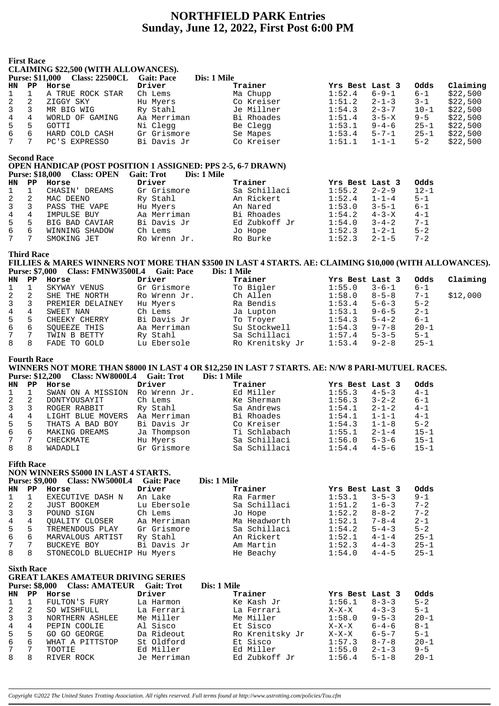# **NORTHFIELD PARK Entries Sunday, June 12, 2022, First Post 6:00 PM**

|                | First Race                                                                                |                                |                                  |               |                       |          |          |  |  |  |  |
|----------------|-------------------------------------------------------------------------------------------|--------------------------------|----------------------------------|---------------|-----------------------|----------|----------|--|--|--|--|
|                | <b>CLAIMING \$22,500 (WITH ALLOWANCES).</b>                                               |                                |                                  |               |                       |          |          |  |  |  |  |
|                |                                                                                           | Purse: \$11,000 Class: 22500CL | <b>Gait: Pace</b>                | Dis: 1 Mile   |                       |          |          |  |  |  |  |
| HN.            | ${\bf PP}$                                                                                | Horse                          | Driver                           | Trainer       | Yrs Best Last 3       | Odds     | Claiming |  |  |  |  |
| 1              |                                                                                           | A TRUE ROCK STAR               | Ch Lems                          | Ma Chupp      | 1:52.4<br>$6 - 9 - 1$ | $6 - 1$  | \$22,500 |  |  |  |  |
| 2              | $\overline{2}$                                                                            | ZIGGY SKY                      | Hu Myers                         | Co Kreiser    | 1:51.2<br>$2 - 1 - 3$ | $3 - 1$  | \$22,500 |  |  |  |  |
| $\mathbf{3}$   | 3                                                                                         | MR BIG WIG                     | Ry Stahl                         | Je Millner    | 1:54.3<br>$2 - 3 - 7$ | $10 - 1$ | \$22,500 |  |  |  |  |
| $\frac{4}{5}$  | 4                                                                                         | WORLD OF GAMING                | Aa Merriman                      | Bi Rhoades    | 1:51.4<br>$3 - 5 - X$ | $9 - 5$  | \$22,500 |  |  |  |  |
|                | 5                                                                                         | GOTTI                          | Ni Clegg                         | Be Clegg      | 1:53.1<br>$9 - 4 - 6$ | $25 - 1$ | \$22,500 |  |  |  |  |
| б              | 6                                                                                         | HARD COLD CASH                 | Gr Grismore                      | Se Mapes      | 1:53.4<br>$5 - 7 - 1$ | $25 - 1$ | \$22,500 |  |  |  |  |
| 7              | 7                                                                                         | PC'S EXPRESSO                  | Bi Davis Jr                      | Co Kreiser    | 1:51.1<br>$1 - 1 - 1$ | $5 - 2$  | \$22,500 |  |  |  |  |
|                | <b>Second Race</b><br><b>OPEN HANDICAP (POST POSITION 1 ASSIGNED: PPS 2-5, 6-7 DRAWN)</b> |                                |                                  |               |                       |          |          |  |  |  |  |
|                |                                                                                           |                                |                                  |               |                       |          |          |  |  |  |  |
|                |                                                                                           | Purse: \$18,000 Class: OPEN    | <b>Gait: Trot</b><br>Dis: 1 Mile |               |                       |          |          |  |  |  |  |
| HN             | $\mathbf{PP}$                                                                             | Horse                          | Driver                           | Trainer       | Yrs Best Last 3       | Odds     |          |  |  |  |  |
| $\mathbf 1$    | $\mathbf{1}$                                                                              | CHASIN' DREAMS                 | Gr Grismore                      | Sa Schillaci  | $2 - 2 - 9$<br>1:55.2 | $12 - 1$ |          |  |  |  |  |
| 2              | 2                                                                                         | MAC DEENO                      | Ry Stahl                         | An Rickert    | 1:52.4<br>$1 - 1 - 4$ | $5 - 1$  |          |  |  |  |  |
| 3              | 3                                                                                         | PASS THE VAPE                  | Hu Myers                         | An Nared      | 1:53.0<br>$3 - 5 - 1$ | $6 - 1$  |          |  |  |  |  |
| $\overline{4}$ | 4                                                                                         | IMPULSE BUY                    | Aa Merriman                      | Bi Rhoades    | 1:54.2<br>$4 - 3 - X$ | $4 - 1$  |          |  |  |  |  |
| 5              | 5                                                                                         | BIG BAD CAVIAR                 | Bi Davis Jr                      | Ed Zubkoff Jr | 1:54.0<br>$3 - 4 - 2$ | $7 - 1$  |          |  |  |  |  |
| 6              | 6                                                                                         | WINNING SHADOW                 | Ch Lems                          | Jo Hope       | $1 - 2 - 1$<br>1:52.3 | $5 - 2$  |          |  |  |  |  |
| 7              |                                                                                           | SMOKING JET                    | Ro Wrenn Jr.                     | Ro Burke      | $2 - 1 - 5$<br>1:52.3 | $7 - 2$  |          |  |  |  |  |

# **Third Race**

FILLIES & MARES WINNERS NOT MORE THAN \$3500 IN LAST 4 STARTS. AE: CLAIMING \$10,000 (WITH ALLOWANCES). Purse: \$7,000 Class: FMNW3500L4 Gait: Pace Dis: 1 Mile

Ro Burke

| HN             | PP. | Horse            | Driver       | Trainer         | Yrs Best Last 3 |             | Odds     | Claiming |
|----------------|-----|------------------|--------------|-----------------|-----------------|-------------|----------|----------|
| 1              |     | SKYWAY VENUS     | Gr Grismore  | To Bigler       | 1:55.0          | $3 - 6 - 1$ | $6 - 1$  |          |
| 2              |     | SHE THE NORTH    | Ro Wrenn Jr. | Ch Allen        | 1:58.0          | $8 - 5 - 8$ | $7 - 1$  | \$12,000 |
| $\overline{3}$ |     | PREMIER DELAINEY | Hu Myers     | Ra Bendis       | 1:53.4          | $5 - 6 - 3$ | $5 - 2$  |          |
| 4              | 4   | SWEET NAN        | Ch Lems      | Ja Lupton       | 1:53.1          | $9 - 6 - 5$ | $2 - 1$  |          |
| 5              | 5   | CHEEKY CHERRY    | Bi Davis Jr  | To Troyer       | 1:54.3          | $5 - 4 - 2$ | $6 - 1$  |          |
| 6              | 6   | SOUEEZE THIS     | Aa Merriman  | Su Stockwell    | 1:54.3          | $9 - 7 - 8$ | $20 - 1$ |          |
| 7              |     | TWIN B BETTY     | Ry Stahl     | Sa Schillaci    | 1:57.4          | $5 - 3 - 5$ | $5 - 1$  |          |
| 8              | 8   | FADE TO GOLD     | Lu Ebersole  | Ro Krenitsky Jr | 1:53.4          | $9 - 2 - 8$ | $25 - 1$ |          |

#### **Fourth Race**

WINNERS NOT MORE THAN \$8000 IN LAST 4 OR \$12,250 IN LAST 7 STARTS. AE: N/W 8 PARI-MUTUEL RACES. Purse: \$12,200 Class: NW8000L4 Gait: Trot Dis: 1 Mile

| HN             | PP. | Horse             | Driver       | Trainer      | Yrs Best Last 3 |             | Odds     |
|----------------|-----|-------------------|--------------|--------------|-----------------|-------------|----------|
| $\mathbf{1}$   |     | SWAN ON A MISSION | Ro Wrenn Jr. | Ed Miller    | 1:55.3          | $4 - 5 - 3$ | $4 - 1$  |
| 2              |     | DONTYOUSAYIT      | Ch Lems      | Ke Sherman   | 1:56.3          | $3 - 2 - 2$ | $6 - 1$  |
| $\overline{3}$ |     | ROGER RABBIT      | Ry Stahl     | Sa Andrews   | 1:54.1          | $2 - 1 - 2$ | $4 - 1$  |
| 4              |     | LIGHT BLUE MOVERS | Aa Merriman  | Bi Rhoades   | 1:54.1          | $1 - 1 - 1$ | $4 - 1$  |
| 5              | 5   | THATS A BAD BOY   | Bi Davis Jr  | Co Kreiser   | 1:54.3          | $1 - 1 - 8$ | $5 - 2$  |
| 6              | 6   | MAKING DREAMS     | Ja Thompson  | Ti Schlabach | 1:55.1          | $2 - 1 - 4$ | $15 - 1$ |
|                |     | CHECKMATE         | Hu Myers     | Sa Schillaci | 1:56.0          | $5 - 3 - 6$ | $15 - 1$ |
| 8              | 8   | WADADLI           | Gr Grismore  | Sa Schillaci | 1:54.4          | $4 - 5 - 6$ | $15 - 1$ |

#### **Fifth Race** NON WINNERS \$5000 IN LAST 4 STARTS.

Purse: \$9,000 Class: NW5000L4 Gait: Pace Dis: 1 Mile Driver HN PP Horse Trainer Yrs Best Last 3 Odds Ra Farmer<br>C EXECUTIVE DASH N An Lake  $1:53.1$   $3-5-3$  $9 - 1$  $\mathbf{1}$  $\mathbf{1}$ JUST BOOKEM Lum Earth Lum Extra 1.1 Lum Earth 1.1 Lum Earth 1.1 Lum Earth 1.1 Lum Earth 1.1 Lum Earth 1.1 Lum E JUST BOOKEM Lu EDEISOLE<br>
POUND SIGN Ch Lems<br>
QUALITY CLOSER Aa Merriman<br>
TREMENDOUS PLAY Gr Grismore<br>
MARVALOUS ARTIST Ry Stahl<br>
BUCKEYE BOY Bi Davis Jr<br>
BUCKEYE BOY Bi Davis Jr  $\overline{c}$  $\overline{2}$ Sa Schillaci  $1:51.2$  $1 - 6 - 3$  $7 - 2$ Jo Hope<br>Ma Headworth  $\overline{3}$  $8 - 8 - 2$  $7 - 2$  $\overline{3}$  $1:52.2$  $1:52.1$  $7 - 8 - 4$  $2 - 1$  $\overline{4}$  $\overline{4}$ na Headworth<br>Sa Schillaci<br>Am Nartin  $1:54.2$ 5  $5 - 4 - 3$  $5 - 2$  $5^{\circ}$  $1:52.1$ <br> $1:52.3$  $25 - 1$  $6\overline{6}$  $6\overline{6}$  $4 - 1 - 4$  $4 - 4 - 3$  $\overline{7}$  $7\overline{ }$  $25 - 1$ הש שמבנות<br>He Beachy 8 STONECOLD BLUECHIP Hu Myers  $1:54.0$  $\mathsf{R}$  $4 - 4 - 5$  $25 - 1$ 

|                | <b>Sixth Race</b>     | <b>GREAT LAKES AMATEUR DRIVING SERIES</b> |                   |                 |                 |             |          |
|----------------|-----------------------|-------------------------------------------|-------------------|-----------------|-----------------|-------------|----------|
|                | <b>Purse: \$8,000</b> | <b>Class: AMATEUR</b>                     | <b>Gait: Trot</b> | Dis: 1 Mile     |                 |             |          |
| HN             | PP.                   | Horse                                     | Driver            | Trainer         | Yrs Best Last 3 |             | Odds     |
| $\mathbf{1}$   |                       | FULTON'S FURY                             | La Harmon         | Ke Kash Jr      | 1:56.1          | $8 - 3 - 3$ | $5 - 2$  |
| 2              | 2                     | SO WISHFULL                               | La Ferrari        | La Ferrari      | $X-X-X$         | $4 - 3 - 3$ | $5 - 1$  |
| $\overline{3}$ | 3                     | NORTHERN ASHLEE                           | Me Miller         | Me Miller       | 1:58.0          | $9 - 5 - 3$ | $20 - 1$ |
| $4^{\circ}$    | 4                     | PEPIN COOLIE                              | Al Sisco          | Et Sisco        | $X-X-X$         | $6 - 4 - 6$ | $8 - 1$  |
| 5              | 5                     | GO GO GEORGE                              | Da Rideout        | Ro Krenitsky Jr | $X-X-X$         | $6 - 5 - 7$ | $5 - 1$  |
| 6              | 6                     | WHAT A PITTSTOP                           | St Oldford        | Et Sisco        | 1:57.3          | $8 - 7 - 8$ | $20 - 1$ |
| $7\degree$     | 7                     | TOOTIE                                    | Ed Miller         | Ed Miller       | 1:55.0          | $2 - 1 - 3$ | $9 - 5$  |
| 8              | 8                     | RIVER ROCK                                | Je Merriman       | Ed Zubkoff Jr   | 1:56.4          | $5 - 1 - 8$ | $20 - 1$ |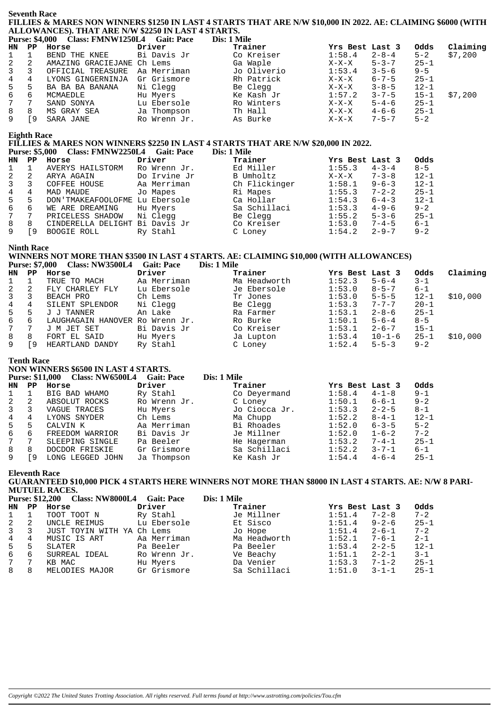# **Seventh Race** FILLIES & MARES NON WINNERS \$1250 IN LAST 4 STARTS THAT ARE N/W \$10,000 IN 2022. AE: CLAIMING \$6000 (WITH ALLOWANCES). THAT ARE N/W \$2250 IN LAST 4 STARTS.

|  | <b>Purse: \$4,000</b> | <b>Class: FMNW1250L4</b> | <b>Gait: Pace</b> | <b>Dis: 1 M</b> |
|--|-----------------------|--------------------------|-------------------|-----------------|
|--|-----------------------|--------------------------|-------------------|-----------------|

|             |     | Purse: \$4,000 Class: FMNW1250L4 Gait: Pace |              | Dis: 1 Mile |                 |             |          |          |
|-------------|-----|---------------------------------------------|--------------|-------------|-----------------|-------------|----------|----------|
|             |     | HN PP Horse                                 | Driver       | Trainer     | Yrs Best Last 3 |             | Odds     | Claiming |
|             |     | BEND THE KNEE                               | Bi Davis Jr  | Co Kreiser  | 1:58.4          | $2 - 8 - 4$ | $5 - 2$  | \$7,200  |
| $2^{\circ}$ | 2   | AMAZING GRACIEJANE Ch Lems                  |              | Ga Waple    | $X-X-X$         | $5 - 3 - 7$ | $25 - 1$ |          |
| $3^{\circ}$ | 3   | OFFICIAL TREASURE                           | Aa Merriman  | Jo Oliverio | 1:53.4          | $3 - 5 - 6$ | $9 - 5$  |          |
| $4\degree$  | 4   | LYONS GINGERNINJA                           | Gr Grismore  | Rh Patrick  | $X-X-X$         | $6 - 7 - 5$ | $25 - 1$ |          |
| $5^{\circ}$ | -5  | BA BA BA BANANA                             | Ni Clegg     | Be Clegg    | X-X-X           | $3 - 8 - 5$ | $12 - 1$ |          |
| 6           | 6   | MCMAEDLE                                    | Hu Myers     | Ke Kash Jr  | 1:57.2          | $3 - 7 - 5$ | $15 - 1$ | \$7,200  |
| 7           |     | SAND SONYA                                  | Lu Ebersole  | Ro Winters  | X-X-X           | $5 - 4 - 6$ | $25 - 1$ |          |
| 8           | 8   | MS GRAY SEA                                 | Ja Thompson  | Th Hall     | X-X-X           | $4 - 6 - 6$ | $25 - 1$ |          |
| 9           | r 9 | SARA JANE                                   | Ro Wrenn Jr. | As Burke    | $X-X-X$         | $7 - 5 - 7$ | $5 - 2$  |          |

## **Eighth Race**

# FILLIES & MARES NON WINNERS \$2250 IN LAST 4 STARTS THAT ARE N/W \$20,000 IN 2022.

Purse: \$5,000 Class: FMNW2250L4 Gait: Pace Dis: 1 Mile

| HN           | PP. | Horse                          | Driver       | Trainer       | Yrs Best Last 3 |             | Odds     |
|--------------|-----|--------------------------------|--------------|---------------|-----------------|-------------|----------|
| $\mathbf{1}$ |     | AVERYS HAILSTORM               | Ro Wrenn Jr. | Ed Miller     | 1:55.3          | $4 - 3 - 4$ | $8 - 5$  |
| 2            | 2   | ARYA AGAIN                     | Do Irvine Jr | B Umholtz     | $X-X-X$         | $7 - 3 - 8$ | $12 - 1$ |
| $\mathbf{3}$ | 3   | COFFEE HOUSE                   | Aa Merriman  | Ch Flickinger | 1:58.1          | $9 - 6 - 3$ | $12 - 1$ |
| 4            | 4   | MAD MAUDE                      | Jo Mapes     | Ri Mapes      | 1:55.3          | $7 - 2 - 2$ | $25 - 1$ |
| 5            | 5.  | DON'TMAKEAFOOLOFME Lu Ebersole |              | Ca Hollar     | 1:54.3          | $6 - 4 - 3$ | $12 - 1$ |
| 6            | 6   | WE ARE DREAMING                | Hu Myers     | Sa Schillaci  | 1:53.3          | $4 - 9 - 6$ | $9 - 2$  |
| 7            |     | PRICELESS SHADOW               | Ni Clegg     | Be Clegg      | 1:55.2          | $5 - 3 - 6$ | $25 - 1$ |
| 8            | 8   | CINDERELLA DELIGHT Bi Davis Jr |              | Co Kreiser    | 1:53.0          | $7 - 4 - 5$ | $6 - 1$  |
|              | ۰9  | BOOGIE ROLL                    | Ry Stahl     | C Loney       | 1:54.2          | $2 - 9 - 7$ | $9 - 2$  |

#### **Ninth Race**

## WINNERS NOT MORE THAN \$3500 IN LAST 4 STARTS. AE: CLAIMING \$10,000 (WITH ALLOWANCES) Purse: \$7,000 Class: NW3500L4 Gait: Pace Dis: 1 Mile

| HN           | PP. | Horse                           | Driver      | Trainer      | Yrs Best Last 3 |              | Odds     | Claiming |
|--------------|-----|---------------------------------|-------------|--------------|-----------------|--------------|----------|----------|
|              |     | TRUE TO MACH                    | Aa Merriman | Ma Headworth | 1:52.3          | $5 - 6 - 4$  | $3 - 1$  |          |
| 2            | 2   | FLY CHARLEY FLY                 | Lu Ebersole | Je Ebersole  | 1:53.0          | $8 - 5 - 7$  | $6 - 1$  |          |
| $\mathbf{3}$ | 3   | BEACH PRO                       | Ch Lems     | Tr Jones     | 1:53.0          | $5 - 5 - 5$  | $12 - 1$ | \$10,000 |
| 4            | 4   | SILENT SPLENDOR                 | Ni Clegg    | Be Clegg     | 1:53.3          | $7 - 7 - 7$  | $20 - 1$ |          |
| 5            | 5   | J J TANNER                      | An Lake     | Ra Farmer    | 1:53.1          | $2 - 8 - 6$  | $25 - 1$ |          |
| 6            | 6   | LAUGHAGAIN HANOVER Ro Wrenn Jr. |             | Ro Burke     | 1:50.1          | $5 - 6 - 4$  | $8 - 5$  |          |
| 7            |     | J M JET SET                     | Bi Davis Jr | Co Kreiser   | 1:53.1          | $2 - 6 - 7$  | $15 - 1$ |          |
| 8            | 8   | FORT EL SAID                    | Hu Myers    | Ja Lupton    | 1:53.4          | $10 - 1 - 6$ | $25 - 1$ | \$10,000 |
| 9            | ۰9  | HEARTLAND DANDY                 | Ry Stahl    | C Loney      | 1:52.4          | $5 - 5 - 3$  | $9 - 2$  |          |
|              |     |                                 |             |              |                 |              |          |          |

### **Tenth Race**

# NON WINNERS \$6500 IN LAST 4 STARTS.

|                 |               | $11011$ $111111111110$ $00000$ $111$ $11101$ |                   |               |                       |          |
|-----------------|---------------|----------------------------------------------|-------------------|---------------|-----------------------|----------|
|                 |               | Purse: \$11,000 Class: NW6500L4              | <b>Gait: Pace</b> | Dis: 1 Mile   |                       |          |
| HN              | $\mathbf{PP}$ | Horse                                        | Driver            | Trainer       | Yrs Best Last 3       | Odds     |
| $\mathbf{1}$    |               | BIG BAD WHAMO                                | Ry Stahl          | Co Deyermand  | 1:58.4<br>$4 - 1 - 8$ | $9 - 1$  |
| 2               | 2             | ABSOLUT ROCKS                                | Ro Wrenn Jr.      | C Loney       | $6 - 6 - 1$<br>1:50.1 | $9 - 2$  |
| $\overline{3}$  | 3             | VAGUE TRACES                                 | Hu Myers          | Jo Ciocca Jr. | $2 - 2 - 5$<br>1:53.3 | $8 - 1$  |
| 4               | 4             | LYONS SNYDER                                 | Ch Lems           | Ma Chupp      | $8 - 4 - 1$<br>1:52.2 | $12 - 1$ |
| 5               | 5             | CALVIN K                                     | Aa Merriman       | Bi Rhoades    | $6 - 3 - 5$<br>1:52.0 | $5 - 2$  |
| 6               | 6             | FREEDOM WARRIOR                              | Bi Davis Jr       | Je Millner    | 1:52.0<br>$1 - 6 - 2$ | $7 - 2$  |
| $7\overline{ }$ | 7             | SLEEPING SINGLE                              | Pa Beeler         | He Hagerman   | $7 - 4 - 1$<br>1:53.2 | $25 - 1$ |
| 8               | 8             | DOCDOR FRISKIE                               | Gr Grismore       | Sa Schillaci  | 1:52.2<br>$3 - 7 - 1$ | 6-1      |
| 9               | ۰,            | LONG LEGGED JOHN                             | Ja Thompson       | Ke Kash Jr    | $4 - 6 - 4$<br>1:54.4 | $25 - 1$ |
|                 |               |                                              |                   |               |                       |          |

**Eleventh Race** 

GUARANTEED \$10,000 PICK 4 STARTS HERE WINNERS NOT MORE THAN \$8000 IN LAST 4 STARTS. AE: N/W 8 PARI-**MUTUEL RACES.**  $\tilde{\alpha}$  $\mathbf{D}_{\text{tot}}$ , 1 Mil.  $612200$ **NW200001 4**  $C_2$ <sup>24</sup> **D** 

|                  |    | <b>Purse: \$12,200 Class: NW8000L4</b> | Gait: Pace   | Dis: 1 Mile  |                 |             |          |
|------------------|----|----------------------------------------|--------------|--------------|-----------------|-------------|----------|
| HN.              | PP | Horse                                  | Driver       | Trainer      | Yrs Best Last 3 |             | Odds     |
|                  |    | TOOT TOOT N                            | Ry Stahl     | Je Millner   | 1:51.4          | $7 - 2 - 8$ | $7 - 2$  |
| 2                | 2  | UNCLE REIMUS                           | Lu Ebersole  | Et Sisco     | 1:51.4          | $9 - 2 - 6$ | $25 - 1$ |
| $3 \overline{3}$ |    | JUST TOYIN WITH YA                     | Ch Lems      | Jo Hope      | 1:51.4          | $2 - 6 - 1$ | $7 - 2$  |
| 4                | 4  | MUSIC IS ART                           | Aa Merriman  | Ma Headworth | 1:52.1          | $7 - 6 - 1$ | $2 - 1$  |
| 5                | 5  | SLATER                                 | Pa Beeler    | Pa Beeler    | 1:53.4          | $2 - 2 - 5$ | $12 - 1$ |
| 6                | 6  | SURREAL IDEAL                          | Ro Wrenn Jr. | Ve Beachy    | 1:51.1          | $2 - 2 - 1$ | $3 - 1$  |
| 7                |    | KB MAC                                 | Hu Myers     | Da Venier    | 1:53.3          | $7 - 1 - 2$ | $25 - 1$ |
| 8                | 8  | MELODIES MAJOR                         | Gr Grismore  | Sa Schillaci | 1:51.0          | $3 - 1 - 1$ | $25 - 1$ |
|                  |    |                                        |              |              |                 |             |          |